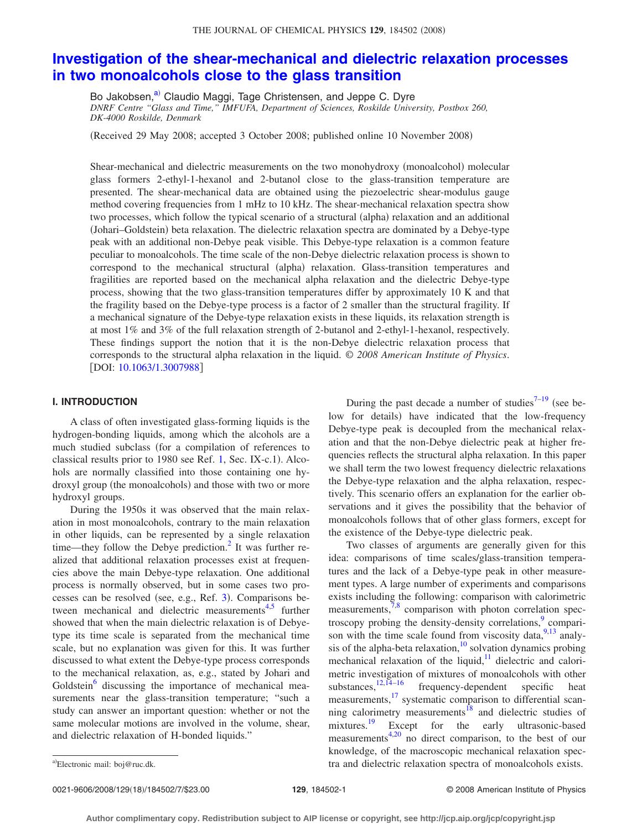# **[Investigation of the shear-mechanical and dielectric relaxation processes](http://dx.doi.org/10.1063/1.3007988) [in two monoalcohols close to the glass transition](http://dx.doi.org/10.1063/1.3007988)**

Bo Jakobsen,<sup>a)</sup> Claudio Maggi, Tage Christensen, and Jeppe C. Dyre *DNRF Centre "Glass and Time," IMFUFA, Department of Sciences, Roskilde University, Postbox 260, DK-4000 Roskilde, Denmark*

Received 29 May 2008; accepted 3 October 2008; published online 10 November 2008-

Shear-mechanical and dielectric measurements on the two monohydroxy (monoalcohol) molecular glass formers 2-ethyl-1-hexanol and 2-butanol close to the glass-transition temperature are presented. The shear-mechanical data are obtained using the piezoelectric shear-modulus gauge method covering frequencies from 1 mHz to 10 kHz. The shear-mechanical relaxation spectra show two processes, which follow the typical scenario of a structural (alpha) relaxation and an additional (Johari-Goldstein) beta relaxation. The dielectric relaxation spectra are dominated by a Debye-type peak with an additional non-Debye peak visible. This Debye-type relaxation is a common feature peculiar to monoalcohols. The time scale of the non-Debye dielectric relaxation process is shown to correspond to the mechanical structural (alpha) relaxation. Glass-transition temperatures and fragilities are reported based on the mechanical alpha relaxation and the dielectric Debye-type process, showing that the two glass-transition temperatures differ by approximately 10 K and that the fragility based on the Debye-type process is a factor of 2 smaller than the structural fragility. If a mechanical signature of the Debye-type relaxation exists in these liquids, its relaxation strength is at most 1% and 3% of the full relaxation strength of 2-butanol and 2-ethyl-1-hexanol, respectively. These findings support the notion that it is the non-Debye dielectric relaxation process that corresponds to the structural alpha relaxation in the liquid. © *2008 American Institute of Physics*. [DOI: [10.1063/1.3007988](http://dx.doi.org/10.1063/1.3007988)]

# **I. INTRODUCTION**

A class of often investigated glass-forming liquids is the hydrogen-bonding liquids, among which the alcohols are a much studied subclass (for a compilation of references to classical results prior to 1980 see Ref. [1,](#page-5-0) Sec. IX-c.1). Alcohols are normally classified into those containing one hydroxyl group (the monoalcohols) and those with two or more hydroxyl groups.

During the 1950s it was observed that the main relaxation in most monoalcohols, contrary to the main relaxation in other liquids, can be represented by a single relaxation time—they follow the Debye prediction.<sup>2</sup> It was further realized that additional relaxation processes exist at frequencies above the main Debye-type relaxation. One additional process is normally observed, but in some cases two pro-cesses can be resolved (see, e.g., Ref. [3](#page-5-2)). Comparisons between mechanical and dielectric measurements $4,5$  $4,5$  further showed that when the main dielectric relaxation is of Debyetype its time scale is separated from the mechanical time scale, but no explanation was given for this. It was further discussed to what extent the Debye-type process corresponds to the mechanical relaxation, as, e.g., stated by Johari and Goldstein<sup>6</sup> discussing the importance of mechanical measurements near the glass-transition temperature; "such a study can answer an important question: whether or not the same molecular motions are involved in the volume, shear, and dielectric relaxation of H-bonded liquids."

During the past decade a number of studies<sup>7-19</sup> (see below for details) have indicated that the low-frequency Debye-type peak is decoupled from the mechanical relaxation and that the non-Debye dielectric peak at higher frequencies reflects the structural alpha relaxation. In this paper we shall term the two lowest frequency dielectric relaxations the Debye-type relaxation and the alpha relaxation, respectively. This scenario offers an explanation for the earlier observations and it gives the possibility that the behavior of monoalcohols follows that of other glass formers, except for the existence of the Debye-type dielectric peak.

Two classes of arguments are generally given for this idea: comparisons of time scales/glass-transition temperatures and the lack of a Debye-type peak in other measurement types. A large number of experiments and comparisons exists including the following: comparison with calorimetric measurements,<sup>7,[8](#page-5-8)</sup> comparison with photon correlation spectroscopy probing the density-density correlations, $\frac{9}{2}$  comparison with the time scale found from viscosity data,  $9,13$  $9,13$  analysis of the alpha-beta relaxation, $\frac{10}{10}$  solvation dynamics probing mechanical relaxation of the liquid, $11$  dielectric and calorimetric investigation of mixtures of monoalcohols with other substances, $12,14-16$  $12,14-16$  $12,14-16$  frequency-dependent specific heat measurements,<sup>17</sup> systematic comparison to differential scanning calorimetry measurements $18$  and dielectric studies of mixtures.<sup>19</sup> Except for the early ultrasonic-based measurements $4,20$  $4,20$  no direct comparison, to the best of our knowledge, of the macroscopic mechanical relaxation spectra and dielectric relaxation spectra of monoalcohols exists.

0021-9606/2008/129(18)/184502/7/\$23.00

<span id="page-0-0"></span>Electronic mail: boj@ruc.dk.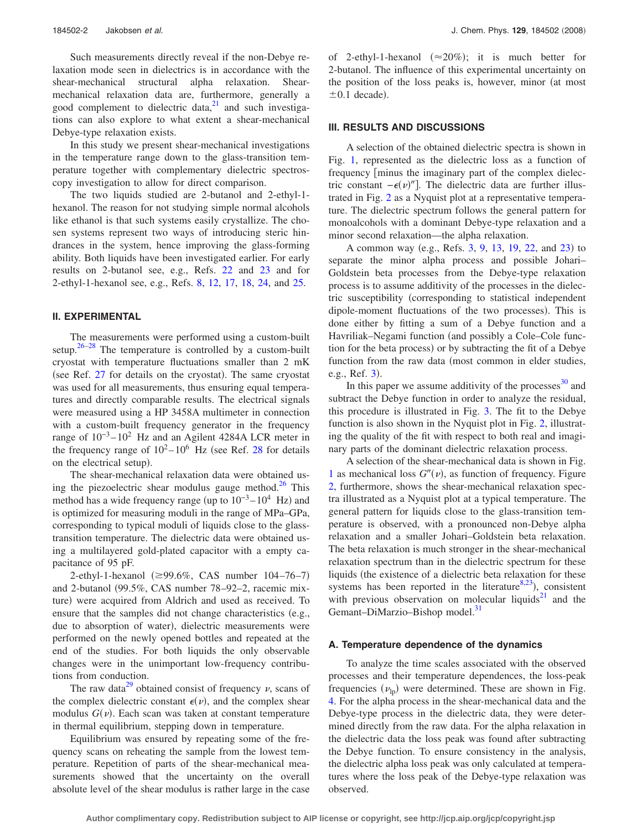Such measurements directly reveal if the non-Debye relaxation mode seen in dielectrics is in accordance with the shear-mechanical structural alpha relaxation. Shearmechanical relaxation data are, furthermore, generally a good complement to dielectric data, $21$  and such investigations can also explore to what extent a shear-mechanical Debye-type relaxation exists.

In this study we present shear-mechanical investigations in the temperature range down to the glass-transition temperature together with complementary dielectric spectroscopy investigation to allow for direct comparison.

The two liquids studied are 2-butanol and 2-ethyl-1 hexanol. The reason for not studying simple normal alcohols like ethanol is that such systems easily crystallize. The chosen systems represent two ways of introducing steric hindrances in the system, hence improving the glass-forming ability. Both liquids have been investigated earlier. For early results on 2-butanol see, e.g., Refs. [22](#page-5-20) and [23](#page-5-21) and for 2-ethyl-1-hexanol see, e.g., Refs. [8,](#page-5-8) [12,](#page-5-13) [17,](#page-5-16) [18,](#page-5-17) [24,](#page-5-22) and [25.](#page-5-23)

### **II. EXPERIMENTAL**

The measurements were performed using a custom-built setup.<sup>26[–28](#page-5-25)</sup> The temperature is controlled by a custom-built cryostat with temperature fluctuations smaller than 2 mK (see Ref. [27](#page-5-26) for details on the cryostat). The same cryostat was used for all measurements, thus ensuring equal temperatures and directly comparable results. The electrical signals were measured using a HP 3458A multimeter in connection with a custom-built frequency generator in the frequency range of  $10^{-3} - 10^{2}$  Hz and an Agilent 4284A LCR meter in the frequency range of  $10^2 - 10^6$  Hz (see Ref. [28](#page-5-25) for details on the electrical setup).

The shear-mechanical relaxation data were obtained using the piezoelectric shear modulus gauge method. $26$  This method has a wide frequency range (up to  $10^{-3} - 10^{4}$  Hz) and is optimized for measuring moduli in the range of MPa–GPa, corresponding to typical moduli of liquids close to the glasstransition temperature. The dielectric data were obtained using a multilayered gold-plated capacitor with a empty capacitance of 95 pF.

2-ethyl-1-hexanol (≥99.6%, CAS number 104–76–7) and 2-butanol 99.5%, CAS number 78–92–2, racemic mixture) were acquired from Aldrich and used as received. To ensure that the samples did not change characteristics  $(e.g.,)$ due to absorption of water), dielectric measurements were performed on the newly opened bottles and repeated at the end of the studies. For both liquids the only observable changes were in the unimportant low-frequency contributions from conduction.

The raw data<sup>29</sup> obtained consist of frequency  $\nu$ , scans of the complex dielectric constant  $\epsilon(\nu)$ , and the complex shear modulus  $G(v)$ . Each scan was taken at constant temperature in thermal equilibrium, stepping down in temperature.

Equilibrium was ensured by repeating some of the frequency scans on reheating the sample from the lowest temperature. Repetition of parts of the shear-mechanical measurements showed that the uncertainty on the overall absolute level of the shear modulus is rather large in the case

of 2-ethyl-1-hexanol  $(\approx 20\%)$ ; it is much better for 2-butanol. The influence of this experimental uncertainty on the position of the loss peaks is, however, minor (at most  $\pm 0.1$  decade).

# **III. RESULTS AND DISCUSSIONS**

A selection of the obtained dielectric spectra is shown in Fig. [1,](#page-2-0) represented as the dielectric loss as a function of frequency [minus the imaginary part of the complex dielectric constant  $-\epsilon(\nu)$ "]. The dielectric data are further illustrated in Fig. [2](#page-3-0) as a Nyquist plot at a representative temperature. The dielectric spectrum follows the general pattern for monoalcohols with a dominant Debye-type relaxation and a minor second relaxation—the alpha relaxation.

A common way (e.g., Refs. [3,](#page-5-2) [9,](#page-5-9) [13,](#page-5-10) [19,](#page-5-7) [22,](#page-5-20) and [23](#page-5-21)) to separate the minor alpha process and possible Johari– Goldstein beta processes from the Debye-type relaxation process is to assume additivity of the processes in the dielectric susceptibility corresponding to statistical independent dipole-moment fluctuations of the two processes). This is done either by fitting a sum of a Debye function and a Havriliak–Negami function (and possibly a Cole–Cole function for the beta process) or by subtracting the fit of a Debye function from the raw data (most common in elder studies, e.g., Ref. [3](#page-5-2)).

In this paper we assume additivity of the processes $^{30}$  and subtract the Debye function in order to analyze the residual, this procedure is illustrated in Fig. [3.](#page-3-1) The fit to the Debye function is also shown in the Nyquist plot in Fig. [2,](#page-3-0) illustrating the quality of the fit with respect to both real and imaginary parts of the dominant dielectric relaxation process.

A selection of the shear-mechanical data is shown in Fig. [1](#page-2-0) as mechanical loss  $G''(v)$ , as function of frequency. Figure [2,](#page-3-0) furthermore, shows the shear-mechanical relaxation spectra illustrated as a Nyquist plot at a typical temperature. The general pattern for liquids close to the glass-transition temperature is observed, with a pronounced non-Debye alpha relaxation and a smaller Johari–Goldstein beta relaxation. The beta relaxation is much stronger in the shear-mechanical relaxation spectrum than in the dielectric spectrum for these liquids (the existence of a dielectric beta relaxation for these systems has been reported in the literature $8,23$  $8,23$ ), consistent with previous observation on molecular liquids<sup>21</sup> and the Gemant–DiMarzio–Bishop model.<sup>31</sup>

# **A. Temperature dependence of the dynamics**

To analyze the time scales associated with the observed processes and their temperature dependences, the loss-peak frequencies  $(\nu_{\text{lp}})$  were determined. These are shown in Fig. [4.](#page-4-0) For the alpha process in the shear-mechanical data and the Debye-type process in the dielectric data, they were determined directly from the raw data. For the alpha relaxation in the dielectric data the loss peak was found after subtracting the Debye function. To ensure consistency in the analysis, the dielectric alpha loss peak was only calculated at temperatures where the loss peak of the Debye-type relaxation was observed.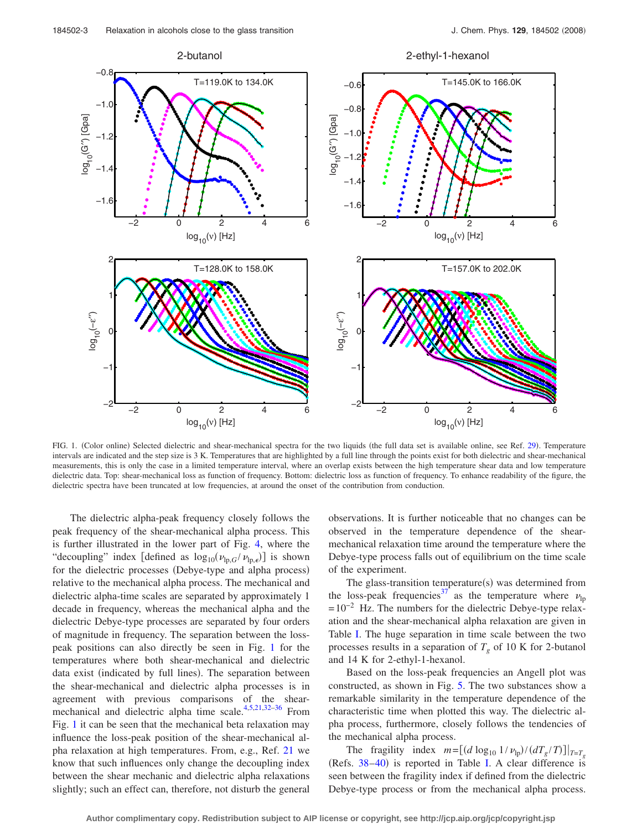<span id="page-2-0"></span>

FIG. 1. (Color online) Selected dielectric and shear-mechanical spectra for the two liquids (the full data set is available online, see Ref. [29](#page-5-27)). Temperature intervals are indicated and the step size is 3 K. Temperatures that are highlighted by a full line through the points exist for both dielectric and shear-mechanical measurements, this is only the case in a limited temperature interval, where an overlap exists between the high temperature shear data and low temperature dielectric data. Top: shear-mechanical loss as function of frequency. Bottom: dielectric loss as function of frequency. To enhance readability of the figure, the dielectric spectra have been truncated at low frequencies, at around the onset of the contribution from conduction.

The dielectric alpha-peak frequency closely follows the peak frequency of the shear-mechanical alpha process. This is further illustrated in the lower part of Fig. [4,](#page-4-0) where the "decoupling" index [defined as  $\log_{10}(\nu_{\text{lp},G}/\nu_{\text{lp},\epsilon})$ ] is shown for the dielectric processes (Debye-type and alpha process) relative to the mechanical alpha process. The mechanical and dielectric alpha-time scales are separated by approximately 1 decade in frequency, whereas the mechanical alpha and the dielectric Debye-type processes are separated by four orders of magnitude in frequency. The separation between the losspeak positions can also directly be seen in Fig. [1](#page-2-0) for the temperatures where both shear-mechanical and dielectric data exist (indicated by full lines). The separation between the shear-mechanical and dielectric alpha processes is in agreement with previous comparisons of the shear-mechanical and dielectric alpha time scale.<sup>4,[5](#page-5-4)[,21,](#page-5-19)[32–](#page-5-30)[36](#page-6-0)</sup> From Fig. [1](#page-2-0) it can be seen that the mechanical beta relaxation may influence the loss-peak position of the shear-mechanical alpha relaxation at high temperatures. From, e.g., Ref. [21](#page-5-19) we know that such influences only change the decoupling index between the shear mechanic and dielectric alpha relaxations slightly; such an effect can, therefore, not disturb the general observations. It is further noticeable that no changes can be observed in the temperature dependence of the shearmechanical relaxation time around the temperature where the Debye-type process falls out of equilibrium on the time scale of the experiment.

The glass-transition temperature(s) was determined from the loss-peak frequencies<sup>37</sup> as the temperature where  $\nu_{\text{lp}}$  $=10^{-2}$  Hz. The numbers for the dielectric Debye-type relaxation and the shear-mechanical alpha relaxation are given in Table [I.](#page-4-1) The huge separation in time scale between the two processes results in a separation of  $T_g$  of 10 K for 2-butanol and 14 K for 2-ethyl-1-hexanol.

Based on the loss-peak frequencies an Angell plot was constructed, as shown in Fig. [5.](#page-4-2) The two substances show a remarkable similarity in the temperature dependence of the characteristic time when plotted this way. The dielectric alpha process, furthermore, closely follows the tendencies of the mechanical alpha process.

The fragility index  $m = [(d \log_{10} 1/\nu_{lp})/(dT_g/T)]|_{T=T_g}$ (Refs.  $38-40$  $38-40$ ) is reported in Table [I.](#page-4-1) A clear difference is seen between the fragility index if defined from the dielectric Debye-type process or from the mechanical alpha process.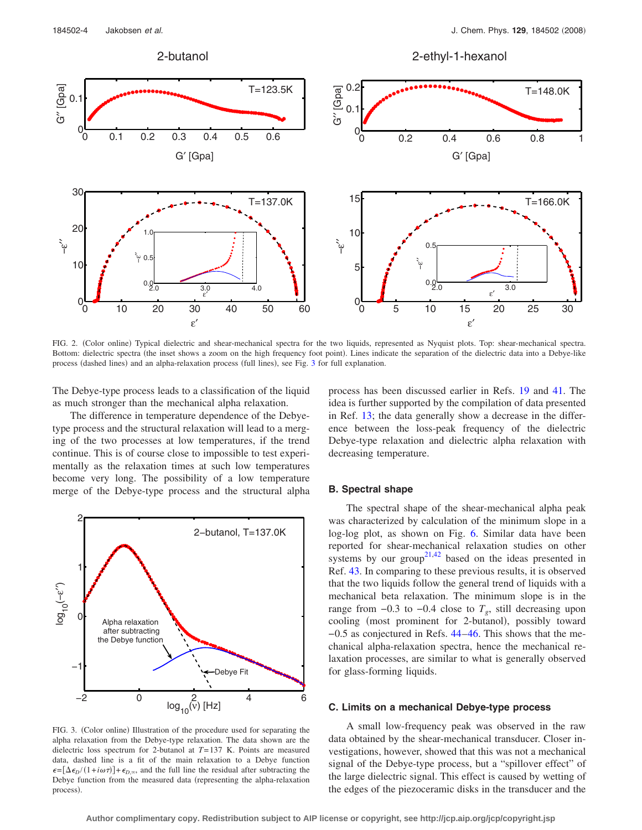<span id="page-3-0"></span>

FIG. 2. (Color online) Typical dielectric and shear-mechanical spectra for the two liquids, represented as Nyquist plots. Top: shear-mechanical spectra. Bottom: dielectric spectra (the inset shows a zoom on the high frequency foot point). Lines indicate the separation of the dielectric data into a Debye-like process (dashed lines) and an alpha-relaxation process (full lines), see Fig. [3](#page-3-1) for full explanation.

The Debye-type process leads to a classification of the liquid as much stronger than the mechanical alpha relaxation.

The difference in temperature dependence of the Debyetype process and the structural relaxation will lead to a merging of the two processes at low temperatures, if the trend continue. This is of course close to impossible to test experimentally as the relaxation times at such low temperatures become very long. The possibility of a low temperature merge of the Debye-type process and the structural alpha

<span id="page-3-1"></span>

FIG. 3. (Color online) Illustration of the procedure used for separating the alpha relaxation from the Debye-type relaxation. The data shown are the dielectric loss spectrum for 2-butanol at *T*=137 K. Points are measured data, dashed line is a fit of the main relaxation to a Debye function  $\epsilon = [\Delta \epsilon_D / (1 + i\omega \tau)] + \epsilon_{D,\infty}$ , and the full line the residual after subtracting the Debye function from the measured data (representing the alpha-relaxation process).

process has been discussed earlier in Refs. [19](#page-5-7) and [41.](#page-6-4) The idea is further supported by the compilation of data presented in Ref. [13;](#page-5-10) the data generally show a decrease in the difference between the loss-peak frequency of the dielectric Debye-type relaxation and dielectric alpha relaxation with decreasing temperature.

# **B. Spectral shape**

The spectral shape of the shear-mechanical alpha peak was characterized by calculation of the minimum slope in a log-log plot, as shown on Fig. [6.](#page-5-31) Similar data have been reported for shear-mechanical relaxation studies on other systems by our group<sup>21,[42](#page-6-5)</sup> based on the ideas presented in Ref. [43.](#page-6-6) In comparing to these previous results, it is observed that the two liquids follow the general trend of liquids with a mechanical beta relaxation. The minimum slope is in the range from  $-0.3$  to  $-0.4$  close to  $T_g$ , still decreasing upon cooling (most prominent for 2-butanol), possibly toward −0.5 as conjectured in Refs. [44](#page-6-7)[–46.](#page-6-8) This shows that the mechanical alpha-relaxation spectra, hence the mechanical relaxation processes, are similar to what is generally observed for glass-forming liquids.

#### **C. Limits on a mechanical Debye-type process**

A small low-frequency peak was observed in the raw data obtained by the shear-mechanical transducer. Closer investigations, however, showed that this was not a mechanical signal of the Debye-type process, but a "spillover effect" of the large dielectric signal. This effect is caused by wetting of the edges of the piezoceramic disks in the transducer and the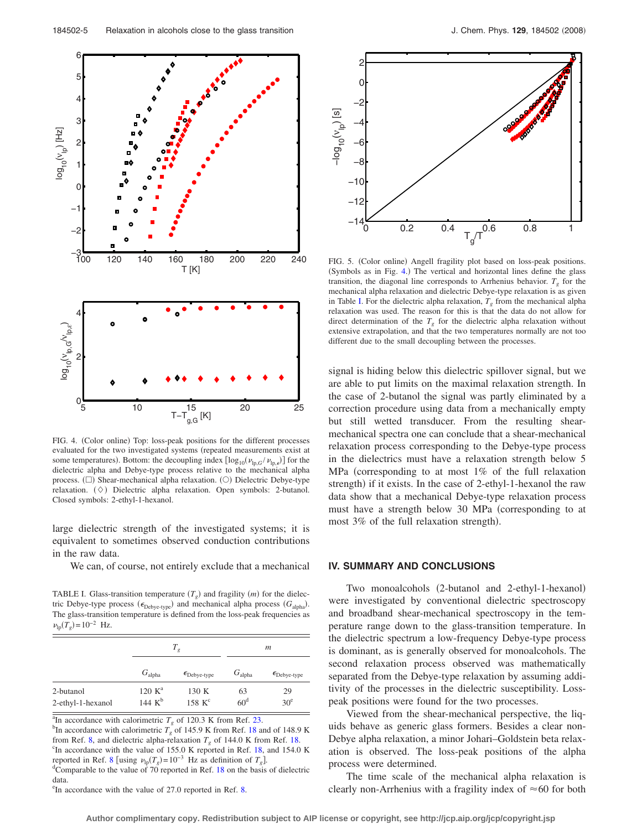<span id="page-4-0"></span>

FIG. 4. (Color online) Top: loss-peak positions for the different processes evaluated for the two investigated systems (repeated measurements exist at some temperatures). Bottom: the decoupling index  $[\log_{10}(\nu_{lp,G}/\nu_{lp,\epsilon})]$  for the dielectric alpha and Debye-type process relative to the mechanical alpha process. ( $\square$ ) Shear-mechanical alpha relaxation. (O) Dielectric Debye-type relaxation. ( $\Diamond$ ) Dielectric alpha relaxation. Open symbols: 2-butanol. Closed symbols: 2-ethyl-1-hexanol.

large dielectric strength of the investigated systems; it is equivalent to sometimes observed conduction contributions in the raw data.

We can, of course, not entirely exclude that a mechanical

<span id="page-4-1"></span>TABLE I. Glass-transition temperature  $(T_g)$  and fragility  $(m)$  for the dielectric Debye-type process ( $\epsilon_{\text{Debye-type}}$ ) and mechanical alpha process  $(G_{\text{alpha}})$ . The glass-transition temperature is defined from the loss-peak frequencies as  $\nu_{\text{lp}}(T_g) = 10^{-2} \text{ Hz}.$ 

|                                | $T_{\varrho}$                   |                                | m                     |                                |
|--------------------------------|---------------------------------|--------------------------------|-----------------------|--------------------------------|
|                                | $G_{\text{alpha}}$              | $\epsilon_{\text{Debye-type}}$ | $G_{\text{alpha}}$    | $\epsilon_{\text{Debye-type}}$ |
| 2-butanol<br>2-ethyl-1-hexanol | 120 K <sup>a</sup><br>144 $K^b$ | 130 K<br>$158$ K <sup>c</sup>  | 63<br>60 <sup>d</sup> | 29<br>30 <sup>e</sup>          |

<sup>a</sup>In accordance with calorimetric  $T_g$  of 120.3 K from Ref. [23.](#page-5-21)<br><sup>b<sub>In accordance with calorimetric</sub>  $T_g$  of 145.0 K from Ref. 18.0</sup>

<sup>b</sup>In accordance with calorimetric  $T_g$  of 145.9 K from Ref. [18](#page-5-17) and of 148.9 K from Ref. [8,](#page-5-8) and dielectric alpha-relaxation  $T<sub>g</sub>$  of 144.0 K from Ref. [18.](#page-5-17)  $\mathrm{C}_{\mathrm{I}}$  accordance with the value of 155.0 K reported in Ref. [18,](#page-5-17) and 154.0 K reported in Ref. [8](#page-5-8) [using  $\nu_{\text{lp}}(T_g) = 10^{-3}$  Hz as definition of  $T_g$ ]. <sup>d</sup>Comparable to the value of 70 reported in Ref.  $18$  on the basis of dielectric data.

<sup>e</sup>In accordance with the value of 27.0 reported in Ref. [8.](#page-5-8)

<span id="page-4-2"></span>

FIG. 5. (Color online) Angell fragility plot based on loss-peak positions. (Symbols as in Fig. [4.](#page-4-0)) The vertical and horizontal lines define the glass transition, the diagonal line corresponds to Arrhenius behavior.  $T<sub>g</sub>$  for the mechanical alpha relaxation and dielectric Debye-type relaxation is as given in Table [I.](#page-4-1) For the dielectric alpha relaxation,  $T<sub>g</sub>$  from the mechanical alpha relaxation was used. The reason for this is that the data do not allow for direct determination of the  $T_g$  for the dielectric alpha relaxation without extensive extrapolation, and that the two temperatures normally are not too different due to the small decoupling between the processes.

signal is hiding below this dielectric spillover signal, but we are able to put limits on the maximal relaxation strength. In the case of 2-butanol the signal was partly eliminated by a correction procedure using data from a mechanically empty but still wetted transducer. From the resulting shearmechanical spectra one can conclude that a shear-mechanical relaxation process corresponding to the Debye-type process in the dielectrics must have a relaxation strength below 5 MPa (corresponding to at most  $1\%$  of the full relaxation strength) if it exists. In the case of 2-ethyl-1-hexanol the raw data show that a mechanical Debye-type relaxation process must have a strength below 30 MPa (corresponding to at most 3% of the full relaxation strength).

## **IV. SUMMARY AND CONCLUSIONS**

Two monoalcohols (2-butanol and 2-ethyl-1-hexanol) were investigated by conventional dielectric spectroscopy and broadband shear-mechanical spectroscopy in the temperature range down to the glass-transition temperature. In the dielectric spectrum a low-frequency Debye-type process is dominant, as is generally observed for monoalcohols. The second relaxation process observed was mathematically separated from the Debye-type relaxation by assuming additivity of the processes in the dielectric susceptibility. Losspeak positions were found for the two processes.

Viewed from the shear-mechanical perspective, the liquids behave as generic glass formers. Besides a clear non-Debye alpha relaxation, a minor Johari–Goldstein beta relaxation is observed. The loss-peak positions of the alpha process were determined.

The time scale of the mechanical alpha relaxation is clearly non-Arrhenius with a fragility index of  $\approx 60$  for both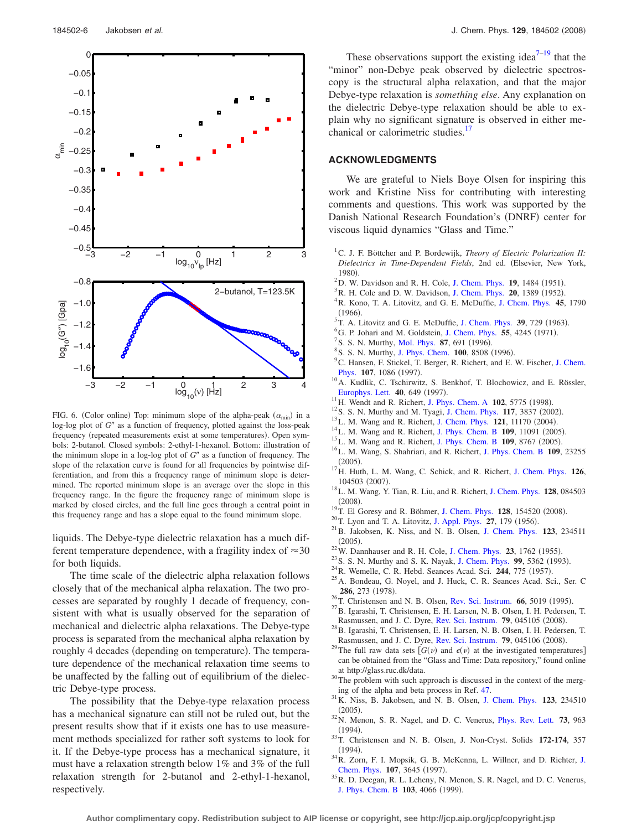<span id="page-5-31"></span>

FIG. 6. (Color online) Top: minimum slope of the alpha-peak  $(\alpha_{min})$  in a log-log plot of *G*" as a function of frequency, plotted against the loss-peak frequency (repeated measurements exist at some temperatures). Open symbols: 2-butanol. Closed symbols: 2-ethyl-1-hexanol. Bottom: illustration of the minimum slope in a log-log plot of  $G''$  as a function of frequency. The slope of the relaxation curve is found for all frequencies by pointwise differentiation, and from this a frequency range of minimum slope is determined. The reported minimum slope is an average over the slope in this frequency range. In the figure the frequency range of minimum slope is marked by closed circles, and the full line goes through a central point in this frequency range and has a slope equal to the found minimum slope.

liquids. The Debye-type dielectric relaxation has a much different temperature dependence, with a fragility index of  $\approx 30$ for both liquids.

The time scale of the dielectric alpha relaxation follows closely that of the mechanical alpha relaxation. The two processes are separated by roughly 1 decade of frequency, consistent with what is usually observed for the separation of mechanical and dielectric alpha relaxations. The Debye-type process is separated from the mechanical alpha relaxation by roughly 4 decades (depending on temperature). The temperature dependence of the mechanical relaxation time seems to be unaffected by the falling out of equilibrium of the dielectric Debye-type process.

The possibility that the Debye-type relaxation process has a mechanical signature can still not be ruled out, but the present results show that if it exists one has to use measurement methods specialized for rather soft systems to look for it. If the Debye-type process has a mechanical signature, it must have a relaxation strength below 1% and 3% of the full relaxation strength for 2-butanol and 2-ethyl-1-hexanol, respectively.

These observations support the existing idea<sup>7[–19](#page-5-7)</sup> that the "minor" non-Debye peak observed by dielectric spectroscopy is the structural alpha relaxation, and that the major Debye-type relaxation is *something else*. Any explanation on the dielectric Debye-type relaxation should be able to explain why no significant signature is observed in either mechanical or calorimetric studies.<sup>1</sup>

# **ACKNOWLEDGMENTS**

We are grateful to Niels Boye Olsen for inspiring this work and Kristine Niss for contributing with interesting comments and questions. This work was supported by the Danish National Research Foundation's (DNRF) center for viscous liquid dynamics "Glass and Time."

- <span id="page-5-0"></span><sup>1</sup> C. J. F. Böttcher and P. Bordewijk, *Theory of Electric Polarization II: Dielectrics in Time-Dependent Fields*, 2nd ed. Elsevier, New York,  $^{1980}_{2\,}$
- <span id="page-5-1"></span><sup>2</sup>D. W. Davidson and R. H. Cole, [J. Chem. Phys.](http://dx.doi.org/10.1063/1.1748105) **19**, 1484 (1951).
- <span id="page-5-3"></span><span id="page-5-2"></span><sup>3</sup>R. H. Cole and D. W. Davidson, [J. Chem. Phys.](http://dx.doi.org/10.1063/1.1700767) **20**, 1389 (1952).
- R. Kono, T. A. Litovitz, and G. E. McDuffie, [J. Chem. Phys.](http://dx.doi.org/10.1063/1.1727831) **45**, 1790  $(1966)$ . (1966).<br><sup>5</sup> T. A. Litovitz and G. E. McDuffie, [J. Chem. Phys.](http://dx.doi.org/10.1063/1.1734316) **39**, 729 (1963).<br><sup>6</sup> G. B. Johari and M. Goldstain, J. Cham. Phys. **55**, 4245 (1971).
- <span id="page-5-4"></span>
- <span id="page-5-6"></span><span id="page-5-5"></span><sup>6</sup>G. P. Johari and M. Goldstein, [J. Chem. Phys.](http://dx.doi.org/10.1063/1.1676742) **55**, 4245 (1971).
- <sup>1</sup>S. S. N. Murthy, [Mol. Phys.](http://dx.doi.org/10.1080/00268979650027414) **87**, 691 (1996).<br><sup>8</sup>S. S. N. Murthy, J. Phys. Cham. 100, 8508.
- <span id="page-5-8"></span><sup>8</sup> S. S. N. Murthy, [J. Phys. Chem.](http://dx.doi.org/10.1021/jp953596z) **100**, 8508 (1996).
- <span id="page-5-9"></span><sup>9</sup>C. Hansen, F. Stickel, T. Berger, R. Richert, and E. W. Fischer, [J. Chem.](http://dx.doi.org/10.1063/1.474456) [Phys.](http://dx.doi.org/10.1063/1.474456) 107, 1086 (1997).
- <span id="page-5-11"></span><sup>10</sup>A. Kudlik, C. Tschirwitz, S. Benkhof, T. Blochowicz, and E. Rössler, [Europhys. Lett.](http://dx.doi.org/10.1209/epl/i1997-00518-y) 40, 649 (1997).
- <span id="page-5-12"></span><sup>11</sup>H. Wendt and R. Richert, [J. Phys. Chem. A](http://dx.doi.org/10.1021/jp981613p) **102**, 5775 (1998).
- <span id="page-5-13"></span><sup>12</sup> S. S. N. Murthy and M. Tyagi, [J. Chem. Phys.](http://dx.doi.org/10.1063/1.1494428) **117**, 3837 (2002).
- <span id="page-5-10"></span><sup>13</sup>L. M. Wang and R. Richert, [J. Chem. Phys.](http://dx.doi.org/10.1063/1.1811072) **121**, 11170 (2004).
- <span id="page-5-14"></span><sup>14</sup> L. M. Wang and R. Richert, [J. Phys. Chem. B](http://dx.doi.org/10.1021/jp051965d) **109**, 11091 (2005).
- <sup>15</sup>L. M. Wang and R. Richert, [J. Phys. Chem. B](http://dx.doi.org/10.1021/jp050342x) **109**, 8767 (2005).
- <span id="page-5-15"></span>. 16L. M. Wang, S. Shahriari, and R. Richert, [J. Phys. Chem. B](http://dx.doi.org/10.1021/jp054542k) **<sup>109</sup>**, 23255  $(2005).$
- <span id="page-5-16"></span><sup>17</sup>H. Huth, L. M. Wang, C. Schick, and R. Richert, [J. Chem. Phys.](http://dx.doi.org/10.1063/1.2539105) **126**, 104503 (2007).
- <span id="page-5-17"></span>. 18L. M. Wang, Y. Tian, R. Liu, and R. Richert, [J. Chem. Phys.](http://dx.doi.org/10.1063/1.2840357) **<sup>128</sup>**, 084503  $(2008).$
- <span id="page-5-7"></span><sup>19</sup> T. El Goresy and R. Böhmer, [J. Chem. Phys.](http://dx.doi.org/10.1063/1.2903403) **128**, 154520 (2008).
- <span id="page-5-18"></span><sup>20</sup> T. Lyon and T. A. Litovitz, [J. Appl. Phys.](http://dx.doi.org/10.1063/1.1722331) **27**, 179 (1956).
- <span id="page-5-19"></span>. 21B. Jakobsen, K. Niss, and N. B. Olsen, [J. Chem. Phys.](http://dx.doi.org/10.1063/1.2136887) **<sup>123</sup>**, 234511  $(2005).$
- <span id="page-5-20"></span><sup>22</sup>W. Dannhauser and R. H. Cole, [J. Chem. Phys.](http://dx.doi.org/10.1063/1.1740576) **23**, 1762 (1955).
- <span id="page-5-21"></span><sup>23</sup> S. S. N. Murthy and S. K. Nayak, [J. Chem. Phys.](http://dx.doi.org/10.1063/1.466187) **99**, 5362 (1993).
- <span id="page-5-22"></span><sup>24</sup> R. Wemelle, C. R. Hebd. Seances Acad. Sci. **244**, 775 (1957).
- <span id="page-5-23"></span><sup>25</sup> A. Bondeau, G. Noyel, and J. Huck, C. R. Seances Acad. Sci., Ser. C **286**, 273 (1978).
- <span id="page-5-24"></span><sup>26</sup>T. Christensen and N. B. Olsen, [Rev. Sci. Instrum.](http://dx.doi.org/10.1063/1.1146126) **66**, 5019 (1995).
- <span id="page-5-26"></span> $^{27}$ B. Igarashi, T. Christensen, E. H. Larsen, N. B. Olsen, I. H. Pedersen, T. Rasmussen, and J. C. Dyre, [Rev. Sci. Instrum.](http://dx.doi.org/10.1063/1.2903419) **79**, 045105 (2008).
- <span id="page-5-25"></span> $^{28}$ B. Igarashi, T. Christensen, E. H. Larsen, N. B. Olsen, I. H. Pedersen, T. Rasmussen, and J. C. Dyre, [Rev. Sci. Instrum.](http://dx.doi.org/10.1063/1.2906401) **79**, 045106 (2008).
- <span id="page-5-27"></span>Rasmussen, and J. C. Dyre, Rev. Sci. Instrum. **79**, 045106 (2008).<br><sup>29</sup>The full raw data sets [ $G(v)$  and  $\epsilon(v)$  at the investigated temperatures] can be obtained from the "Glass and Time: Data repository," found online
- <span id="page-5-28"></span>at http://glass.ruc.dk/data.  $30$ The problem with such approach is discussed in the context of the merg-
- <span id="page-5-29"></span>ing of the alpha and beta process in Ref. [47.](#page-6-9) 31K. Niss, B. Jakobsen, and N. B. Olsen, [J. Chem. Phys.](http://dx.doi.org/10.1063/1.2136886) **<sup>123</sup>**, 234510  $(2005).$
- <span id="page-5-30"></span>. 32N. Menon, S. R. Nagel, and D. C. Venerus, [Phys. Rev. Lett.](http://dx.doi.org/10.1103/PhysRevLett.73.963) **<sup>73</sup>**, 963  $(1994)$
- . 33T. Christensen and N. B. Olsen, J. Non-Cryst. Solids **172-174**, 357  $(1994).$
- <sup>34</sup> R. Zorn, F. I. Mopsik, G. B. McKenna, L. Willner, and D. Richter, [J.](http://dx.doi.org/10.1063/1.474722) [Chem. Phys.](http://dx.doi.org/10.1063/1.474722) 107, 3645 (1997).
- <sup>35</sup>R. D. Deegan, R. L. Leheny, N. Menon, S. R. Nagel, and D. C. Venerus, [J. Phys. Chem. B](http://dx.doi.org/10.1021/jp983832g) 103, 4066 (1999).